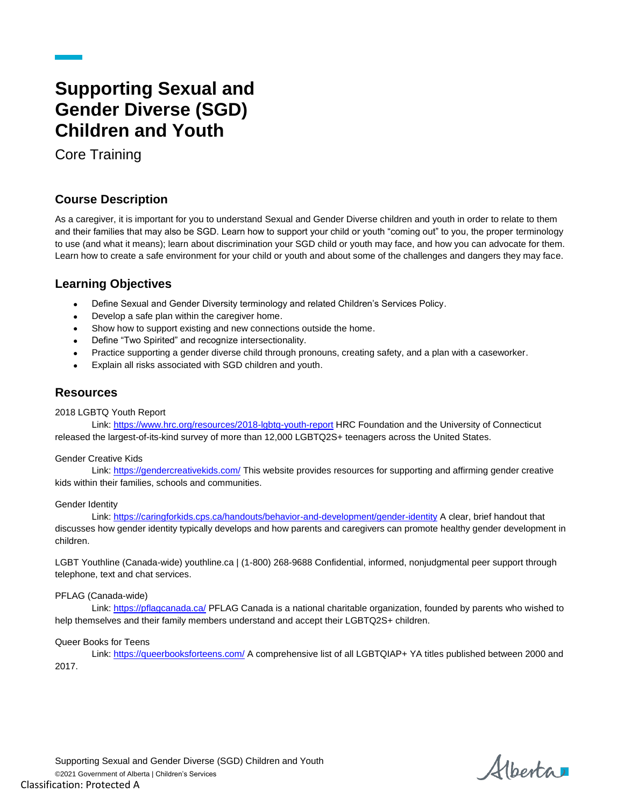# **Supporting Sexual and Gender Diverse (SGD) Children and Youth**

Core Training

# **Course Description**

As a caregiver, it is important for you to understand Sexual and Gender Diverse children and youth in order to relate to them and their families that may also be SGD. Learn how to support your child or youth "coming out" to you, the proper terminology to use (and what it means); learn about discrimination your SGD child or youth may face, and how you can advocate for them. Learn how to create a safe environment for your child or youth and about some of the challenges and dangers they may face.

# **Learning Objectives**

- Define Sexual and Gender Diversity terminology and related Children's Services Policy.
- Develop a safe plan within the caregiver home.
- Show how to support existing and new connections outside the home.
- Define "Two Spirited" and recognize intersectionality.
- Practice supporting a gender diverse child through pronouns, creating safety, and a plan with a caseworker.
- Explain all risks associated with SGD children and youth.

# **Resources**

## 2018 LGBTQ Youth Report

Link[: https://www.hrc.org/resources/2018-lgbtq-youth-report](https://www.hrc.org/resources/2018-lgbtq-youth-report) HRC Foundation and the University of Connecticut released the largest-of-its-kind survey of more than 12,000 LGBTQ2S+ teenagers across the United States.

## Gender Creative Kids

Link[: https://gendercreativekids.com/](https://gendercreativekids.com/) This website provides resources for supporting and affirming gender creative kids within their families, schools and communities.

## Gender Identity

Link[: https://caringforkids.cps.ca/handouts/behavior-and-development/gender-identity](https://caringforkids.cps.ca/handouts/behavior-and-development/gender-identity) A clear, brief handout that discusses how gender identity typically develops and how parents and caregivers can promote healthy gender development in children.

LGBT Youthline (Canada-wide) youthline.ca | (1-800) 268-9688 Confidential, informed, nonjudgmental peer support through telephone, text and chat services.

## PFLAG (Canada-wide)

Link[: https://pflagcanada.ca/](https://pflagcanada.ca/) PFLAG Canada is a national charitable organization, founded by parents who wished to help themselves and their family members understand and accept their LGBTQ2S+ children.

## Queer Books for Teens

Link[: https://queerbooksforteens.com/](https://queerbooksforteens.com/) A comprehensive list of all LGBTQIAP+ YA titles published between 2000 and 2017.

Alberta